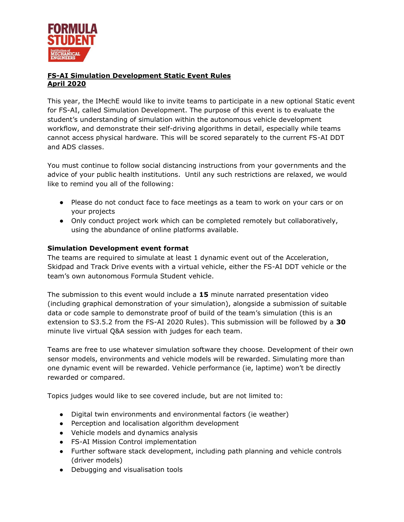

## **FS-AI Simulation Development Static Event Rules April 2020**

This year, the IMechE would like to invite teams to participate in a new optional Static event for FS-AI, called Simulation Development. The purpose of this event is to evaluate the student's understanding of simulation within the autonomous vehicle development workflow, and demonstrate their self-driving algorithms in detail, especially while teams cannot access physical hardware. This will be scored separately to the current FS-AI DDT and ADS classes.

You must continue to follow social distancing instructions from your governments and the advice of your public health institutions. Until any such restrictions are relaxed, we would like to remind you all of the following:

- Please do not conduct face to face meetings as a team to work on your cars or on your projects
- Only conduct project work which can be completed remotely but collaboratively, using the abundance of online platforms available.

## **Simulation Development event format**

The teams are required to simulate at least 1 dynamic event out of the Acceleration, Skidpad and Track Drive events with a virtual vehicle, either the FS-AI DDT vehicle or the team's own autonomous Formula Student vehicle.

The submission to this event would include a **15** minute narrated presentation video (including graphical demonstration of your simulation), alongside a submission of suitable data or code sample to demonstrate proof of build of the team's simulation (this is an extension to S3.5.2 from the FS-AI 2020 Rules). This submission will be followed by a **30** minute live virtual Q&A session with judges for each team.

Teams are free to use whatever simulation software they choose. Development of their own sensor models, environments and vehicle models will be rewarded. Simulating more than one dynamic event will be rewarded. Vehicle performance (ie, laptime) won't be directly rewarded or compared.

Topics judges would like to see covered include, but are not limited to:

- Digital twin environments and environmental factors (ie weather)
- Perception and localisation algorithm development
- Vehicle models and dynamics analysis
- FS-AI Mission Control implementation
- Further software stack development, including path planning and vehicle controls (driver models)
- Debugging and visualisation tools